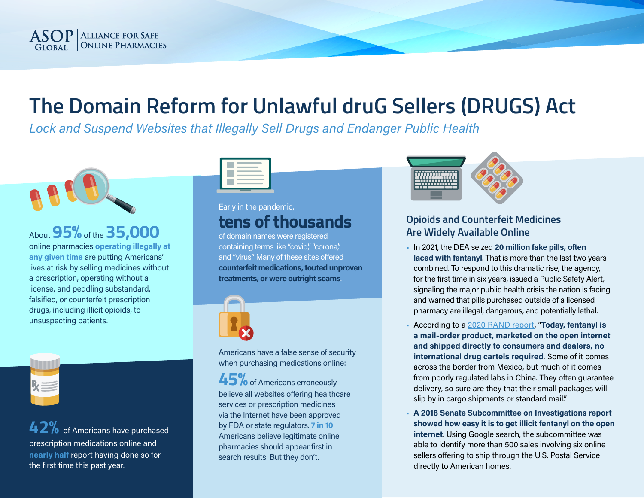

# **The Domain Reform for Unlawful druG Sellers (DRUGS) Act**

*Lock and Suspend Websites that Illegally Sell Drugs and Endanger Public Health*



About **[95%](https://nabp.pharmacy/wp-content/uploads/2018/09/Internet-Drug-Outlet-Report-September-2018.pdf)** of the **[35,000](https://nabp.pharmacy/wp-content/uploads/2016/08/Internet-Drug-Outlet-Report-August-2017.pdf)** online pharmacies **operating illegally at any given time** are putting Americans' lives at risk by selling medicines without a prescription, operating without a license, and peddling substandard, falsified, or counterfeit prescription drugs, including illicit opioids, to unsuspecting patients.



**4[2%](https://asopfoundation.pharmacy/wp-content/uploads/2021/07/ASOP-Global-Foundation-2021-Consumer-Behavior-Survey-Key-Findings_Final-7.9.2021.pdf )** of Americans have purchased prescription medications online and **nearly half** report having done so for the first time this past year.



# Early in the pandemic, **tens of thousands**

of domain names were registered containing terms like "covid," "corona," and "virus." Many of these sites offered **counterfeit medications, touted unproven treatments, or were outright scams**.



Americans have a false sense of security when purchasing medications online:

**45%** of Americans erroneously believe all websites offering healthcare services or prescription medicines via the Internet have been approved by FDA or state regulators. **7 in 10**  Americans believe legitimate online pharmacies should appear first in search results. But they don't.



#### **Opioids and Counterfeit Medicines Are Widely Available Online**

- In 2021, the DEA seized **20 million fake pills, often laced with fentanyl**. That is more than the last two years combined. To respond to this dramatic rise, the agency, for the first time in six years, issued a Public Safety Alert, signaling the major public health crisis the nation is facing and warned that pills purchased outside of a licensed pharmacy are illegal, dangerous, and potentially lethal.
- According to a [2020 RAND report](https://www.rand.org/blog/rand-review/2020/01/fentanyl-the-most-dangerous-illegal-drug-in-america.html), "**Today, fentanyl is a mail-order product, marketed on the open internet and shipped directly to consumers and dealers, no international drug cartels required**. Some of it comes across the border from Mexico, but much of it comes from poorly regulated labs in China. They often guarantee delivery, so sure are they that their small packages will slip by in cargo shipments or standard mail."
- **A 2018 Senate Subcommittee on Investigations report showed how easy it is to get illicit fentanyl on the open internet**. Using Google search, the subcommittee was able to identify more than 500 sales involving six online sellers offering to ship through the U.S. Postal Service directly to American homes.